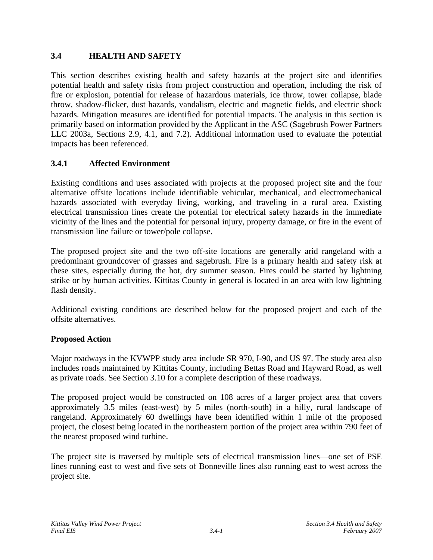# **3.4 HEALTH AND SAFETY**

This section describes existing health and safety hazards at the project site and identifies potential health and safety risks from project construction and operation, including the risk of fire or explosion, potential for release of hazardous materials, ice throw, tower collapse, blade throw, shadow-flicker, dust hazards, vandalism, electric and magnetic fields, and electric shock hazards. Mitigation measures are identified for potential impacts. The analysis in this section is primarily based on information provided by the Applicant in the ASC (Sagebrush Power Partners LLC 2003a, Sections 2.9, 4.1, and 7.2). Additional information used to evaluate the potential impacts has been referenced.

# **3.4.1 Affected Environment**

Existing conditions and uses associated with projects at the proposed project site and the four alternative offsite locations include identifiable vehicular, mechanical, and electromechanical hazards associated with everyday living, working, and traveling in a rural area. Existing electrical transmission lines create the potential for electrical safety hazards in the immediate vicinity of the lines and the potential for personal injury, property damage, or fire in the event of transmission line failure or tower/pole collapse.

The proposed project site and the two off-site locations are generally arid rangeland with a predominant groundcover of grasses and sagebrush. Fire is a primary health and safety risk at these sites, especially during the hot, dry summer season. Fires could be started by lightning strike or by human activities. Kittitas County in general is located in an area with low lightning flash density.

Additional existing conditions are described below for the proposed project and each of the offsite alternatives.

## **Proposed Action**

Major roadways in the KVWPP study area include SR 970, I-90, and US 97. The study area also includes roads maintained by Kittitas County, including Bettas Road and Hayward Road, as well as private roads. See Section 3.10 for a complete description of these roadways.

The proposed project would be constructed on 108 acres of a larger project area that covers approximately 3.5 miles (east-west) by 5 miles (north-south) in a hilly, rural landscape of rangeland. Approximately 60 dwellings have been identified within 1 mile of the proposed project, the closest being located in the northeastern portion of the project area within 790 feet of the nearest proposed wind turbine.

The project site is traversed by multiple sets of electrical transmission lines—one set of PSE lines running east to west and five sets of Bonneville lines also running east to west across the project site.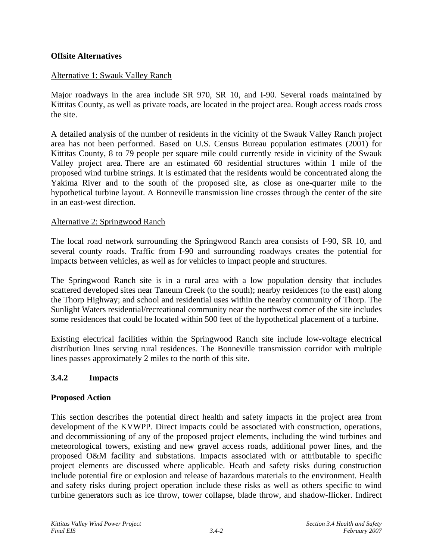## **Offsite Alternatives**

### Alternative 1: Swauk Valley Ranch

Major roadways in the area include SR 970, SR 10, and I-90. Several roads maintained by Kittitas County, as well as private roads, are located in the project area. Rough access roads cross the site.

A detailed analysis of the number of residents in the vicinity of the Swauk Valley Ranch project area has not been performed. Based on U.S. Census Bureau population estimates (2001) for Kittitas County, 8 to 79 people per square mile could currently reside in vicinity of the Swauk Valley project area. There are an estimated 60 residential structures within 1 mile of the proposed wind turbine strings. It is estimated that the residents would be concentrated along the Yakima River and to the south of the proposed site, as close as one-quarter mile to the hypothetical turbine layout. A Bonneville transmission line crosses through the center of the site in an east-west direction.

### Alternative 2: Springwood Ranch

The local road network surrounding the Springwood Ranch area consists of I-90, SR 10, and several county roads. Traffic from I-90 and surrounding roadways creates the potential for impacts between vehicles, as well as for vehicles to impact people and structures.

The Springwood Ranch site is in a rural area with a low population density that includes scattered developed sites near Taneum Creek (to the south); nearby residences (to the east) along the Thorp Highway; and school and residential uses within the nearby community of Thorp. The Sunlight Waters residential/recreational community near the northwest corner of the site includes some residences that could be located within 500 feet of the hypothetical placement of a turbine.

Existing electrical facilities within the Springwood Ranch site include low-voltage electrical distribution lines serving rural residences. The Bonneville transmission corridor with multiple lines passes approximately 2 miles to the north of this site.

## **3.4.2 Impacts**

### **Proposed Action**

This section describes the potential direct health and safety impacts in the project area from development of the KVWPP. Direct impacts could be associated with construction, operations, and decommissioning of any of the proposed project elements, including the wind turbines and meteorological towers, existing and new gravel access roads, additional power lines, and the proposed O&M facility and substations. Impacts associated with or attributable to specific project elements are discussed where applicable. Heath and safety risks during construction include potential fire or explosion and release of hazardous materials to the environment. Health and safety risks during project operation include these risks as well as others specific to wind turbine generators such as ice throw, tower collapse, blade throw, and shadow-flicker. Indirect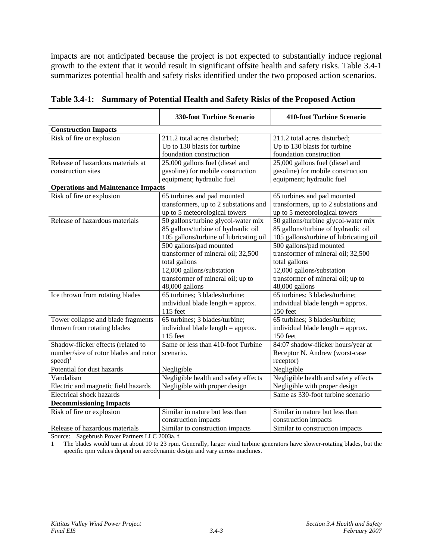impacts are not anticipated because the project is not expected to substantially induce regional growth to the extent that it would result in significant offsite health and safety risks. Table 3.4-1 summarizes potential health and safety risks identified under the two proposed action scenarios.

|                                                                                                      | <b>330-foot Turbine Scenario</b>                                                                                     | <b>410-foot Turbine Scenario</b>                                                                                     |  |  |
|------------------------------------------------------------------------------------------------------|----------------------------------------------------------------------------------------------------------------------|----------------------------------------------------------------------------------------------------------------------|--|--|
| <b>Construction Impacts</b>                                                                          |                                                                                                                      |                                                                                                                      |  |  |
| Risk of fire or explosion                                                                            | 211.2 total acres disturbed;<br>Up to 130 blasts for turbine<br>foundation construction                              | 211.2 total acres disturbed;<br>Up to 130 blasts for turbine<br>foundation construction                              |  |  |
| Release of hazardous materials at<br>construction sites                                              | 25,000 gallons fuel (diesel and<br>gasoline) for mobile construction<br>equipment; hydraulic fuel                    | 25,000 gallons fuel (diesel and<br>gasoline) for mobile construction<br>equipment; hydraulic fuel                    |  |  |
| <b>Operations and Maintenance Impacts</b>                                                            |                                                                                                                      |                                                                                                                      |  |  |
| Risk of fire or explosion                                                                            | 65 turbines and pad mounted<br>transformers, up to 2 substations and<br>up to 5 meteorological towers                | 65 turbines and pad mounted<br>transformers, up to 2 substations and<br>up to 5 meteorological towers                |  |  |
| Release of hazardous materials                                                                       | 50 gallons/turbine glycol-water mix<br>85 gallons/turbine of hydraulic oil<br>105 gallons/turbine of lubricating oil | 50 gallons/turbine glycol-water mix<br>85 gallons/turbine of hydraulic oil<br>105 gallons/turbine of lubricating oil |  |  |
|                                                                                                      | 500 gallons/pad mounted<br>transformer of mineral oil; 32,500<br>total gallons                                       | 500 gallons/pad mounted<br>transformer of mineral oil; 32,500<br>total gallons                                       |  |  |
|                                                                                                      | 12,000 gallons/substation<br>transformer of mineral oil; up to<br>48,000 gallons                                     | 12,000 gallons/substation<br>transformer of mineral oil; up to<br>48,000 gallons                                     |  |  |
| Ice thrown from rotating blades                                                                      | 65 turbines; 3 blades/turbine;<br>individual blade length $=$ approx.<br>115 feet                                    | 65 turbines; 3 blades/turbine;<br>individual blade length = approx.<br>150 feet                                      |  |  |
| Tower collapse and blade fragments<br>thrown from rotating blades                                    | 65 turbines; 3 blades/turbine;<br>individual blade length $=$ approx.<br>115 feet                                    | 65 turbines; 3 blades/turbine;<br>individual blade length $=$ approx.<br>150 feet                                    |  |  |
| Shadow-flicker effects (related to<br>number/size of rotor blades and rotor<br>$speed)$ <sup>1</sup> | Same or less than 410-foot Turbine<br>scenario.                                                                      | 84:07 shadow-flicker hours/year at<br>Receptor N. Andrew (worst-case<br>receptor)                                    |  |  |
| Potential for dust hazards                                                                           | Negligible                                                                                                           | Negligible                                                                                                           |  |  |
| Vandalism                                                                                            | Negligible health and safety effects                                                                                 | Negligible health and safety effects                                                                                 |  |  |
| Electric and magnetic field hazards                                                                  | Negligible with proper design                                                                                        | Negligible with proper design                                                                                        |  |  |
| Electrical shock hazards                                                                             |                                                                                                                      | Same as 330-foot turbine scenario                                                                                    |  |  |
| <b>Decommissioning Impacts</b>                                                                       |                                                                                                                      |                                                                                                                      |  |  |
| Risk of fire or explosion                                                                            | Similar in nature but less than<br>construction impacts                                                              | Similar in nature but less than<br>construction impacts                                                              |  |  |
| Release of hazardous materials                                                                       | Similar to construction impacts                                                                                      | Similar to construction impacts                                                                                      |  |  |

| Table 3.4-1: Summary of Potential Health and Safety Risks of the Proposed Action |  |  |  |  |  |  |  |
|----------------------------------------------------------------------------------|--|--|--|--|--|--|--|
|----------------------------------------------------------------------------------|--|--|--|--|--|--|--|

Source: Sagebrush Power Partners LLC 2003a, f.

1 The blades would turn at about 10 to 23 rpm. Generally, larger wind turbine generators have slower-rotating blades, but the specific rpm values depend on aerodynamic design and vary across machines.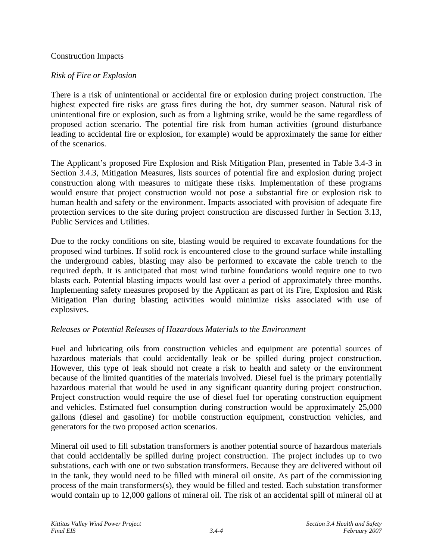## Construction Impacts

### *Risk of Fire or Explosion*

There is a risk of unintentional or accidental fire or explosion during project construction. The highest expected fire risks are grass fires during the hot, dry summer season. Natural risk of unintentional fire or explosion, such as from a lightning strike, would be the same regardless of proposed action scenario. The potential fire risk from human activities (ground disturbance leading to accidental fire or explosion, for example) would be approximately the same for either of the scenarios.

The Applicant's proposed Fire Explosion and Risk Mitigation Plan, presented in Table 3.4-3 in Section 3.4.3, Mitigation Measures, lists sources of potential fire and explosion during project construction along with measures to mitigate these risks. Implementation of these programs would ensure that project construction would not pose a substantial fire or explosion risk to human health and safety or the environment. Impacts associated with provision of adequate fire protection services to the site during project construction are discussed further in Section 3.13, Public Services and Utilities.

Due to the rocky conditions on site, blasting would be required to excavate foundations for the proposed wind turbines. If solid rock is encountered close to the ground surface while installing the underground cables, blasting may also be performed to excavate the cable trench to the required depth. It is anticipated that most wind turbine foundations would require one to two blasts each. Potential blasting impacts would last over a period of approximately three months. Implementing safety measures proposed by the Applicant as part of its Fire, Explosion and Risk Mitigation Plan during blasting activities would minimize risks associated with use of explosives.

## *Releases or Potential Releases of Hazardous Materials to the Environment*

Fuel and lubricating oils from construction vehicles and equipment are potential sources of hazardous materials that could accidentally leak or be spilled during project construction. However, this type of leak should not create a risk to health and safety or the environment because of the limited quantities of the materials involved. Diesel fuel is the primary potentially hazardous material that would be used in any significant quantity during project construction. Project construction would require the use of diesel fuel for operating construction equipment and vehicles. Estimated fuel consumption during construction would be approximately 25,000 gallons (diesel and gasoline) for mobile construction equipment, construction vehicles, and generators for the two proposed action scenarios.

Mineral oil used to fill substation transformers is another potential source of hazardous materials that could accidentally be spilled during project construction. The project includes up to two substations, each with one or two substation transformers. Because they are delivered without oil in the tank, they would need to be filled with mineral oil onsite. As part of the commissioning process of the main transformers(s), they would be filled and tested. Each substation transformer would contain up to 12,000 gallons of mineral oil. The risk of an accidental spill of mineral oil at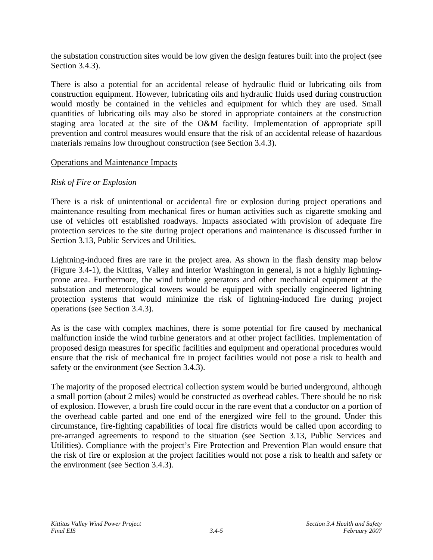the substation construction sites would be low given the design features built into the project (see Section 3.4.3).

There is also a potential for an accidental release of hydraulic fluid or lubricating oils from construction equipment. However, lubricating oils and hydraulic fluids used during construction would mostly be contained in the vehicles and equipment for which they are used. Small quantities of lubricating oils may also be stored in appropriate containers at the construction staging area located at the site of the O&M facility. Implementation of appropriate spill prevention and control measures would ensure that the risk of an accidental release of hazardous materials remains low throughout construction (see Section 3.4.3).

### Operations and Maintenance Impacts

## *Risk of Fire or Explosion*

There is a risk of unintentional or accidental fire or explosion during project operations and maintenance resulting from mechanical fires or human activities such as cigarette smoking and use of vehicles off established roadways. Impacts associated with provision of adequate fire protection services to the site during project operations and maintenance is discussed further in Section 3.13, Public Services and Utilities.

Lightning-induced fires are rare in the project area. As shown in the flash density map below (Figure 3.4-1), the Kittitas, Valley and interior Washington in general, is not a highly lightningprone area. Furthermore, the wind turbine generators and other mechanical equipment at the substation and meteorological towers would be equipped with specially engineered lightning protection systems that would minimize the risk of lightning-induced fire during project operations (see Section 3.4.3).

As is the case with complex machines, there is some potential for fire caused by mechanical malfunction inside the wind turbine generators and at other project facilities. Implementation of proposed design measures for specific facilities and equipment and operational procedures would ensure that the risk of mechanical fire in project facilities would not pose a risk to health and safety or the environment (see Section 3.4.3).

The majority of the proposed electrical collection system would be buried underground, although a small portion (about 2 miles) would be constructed as overhead cables. There should be no risk of explosion. However, a brush fire could occur in the rare event that a conductor on a portion of the overhead cable parted and one end of the energized wire fell to the ground. Under this circumstance, fire-fighting capabilities of local fire districts would be called upon according to pre-arranged agreements to respond to the situation (see Section 3.13, Public Services and Utilities). Compliance with the project's Fire Protection and Prevention Plan would ensure that the risk of fire or explosion at the project facilities would not pose a risk to health and safety or the environment (see Section 3.4.3).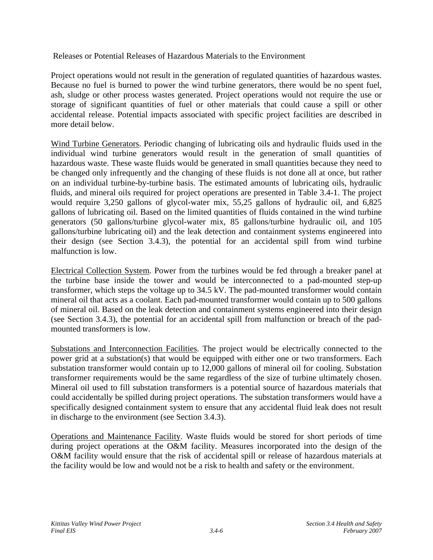Releases or Potential Releases of Hazardous Materials to the Environment

Project operations would not result in the generation of regulated quantities of hazardous wastes. Because no fuel is burned to power the wind turbine generators, there would be no spent fuel, ash, sludge or other process wastes generated. Project operations would not require the use or storage of significant quantities of fuel or other materials that could cause a spill or other accidental release. Potential impacts associated with specific project facilities are described in more detail below.

Wind Turbine Generators. Periodic changing of lubricating oils and hydraulic fluids used in the individual wind turbine generators would result in the generation of small quantities of hazardous waste. These waste fluids would be generated in small quantities because they need to be changed only infrequently and the changing of these fluids is not done all at once, but rather on an individual turbine-by-turbine basis. The estimated amounts of lubricating oils, hydraulic fluids, and mineral oils required for project operations are presented in Table 3.4-1. The project would require 3,250 gallons of glycol-water mix, 55,25 gallons of hydraulic oil, and 6,825 gallons of lubricating oil. Based on the limited quantities of fluids contained in the wind turbine generators (50 gallons/turbine glycol-water mix, 85 gallons/turbine hydraulic oil, and 105 gallons/turbine lubricating oil) and the leak detection and containment systems engineered into their design (see Section 3.4.3), the potential for an accidental spill from wind turbine malfunction is low.

Electrical Collection System. Power from the turbines would be fed through a breaker panel at the turbine base inside the tower and would be interconnected to a pad-mounted step-up transformer, which steps the voltage up to 34.5 kV. The pad-mounted transformer would contain mineral oil that acts as a coolant. Each pad-mounted transformer would contain up to 500 gallons of mineral oil. Based on the leak detection and containment systems engineered into their design (see Section 3.4.3), the potential for an accidental spill from malfunction or breach of the padmounted transformers is low.

Substations and Interconnection Facilities. The project would be electrically connected to the power grid at a substation(s) that would be equipped with either one or two transformers. Each substation transformer would contain up to 12,000 gallons of mineral oil for cooling. Substation transformer requirements would be the same regardless of the size of turbine ultimately chosen. Mineral oil used to fill substation transformers is a potential source of hazardous materials that could accidentally be spilled during project operations. The substation transformers would have a specifically designed containment system to ensure that any accidental fluid leak does not result in discharge to the environment (see Section 3.4.3).

Operations and Maintenance Facility. Waste fluids would be stored for short periods of time during project operations at the O&M facility. Measures incorporated into the design of the O&M facility would ensure that the risk of accidental spill or release of hazardous materials at the facility would be low and would not be a risk to health and safety or the environment.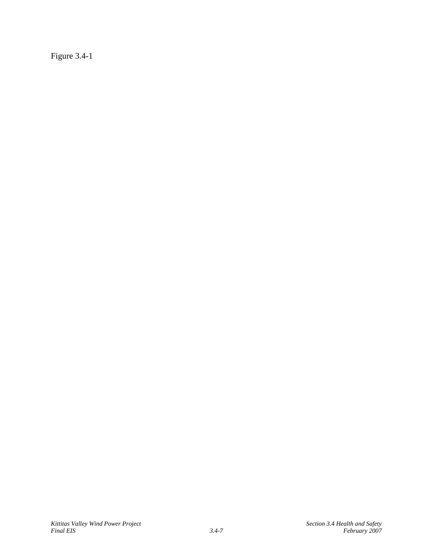Figure 3.4-1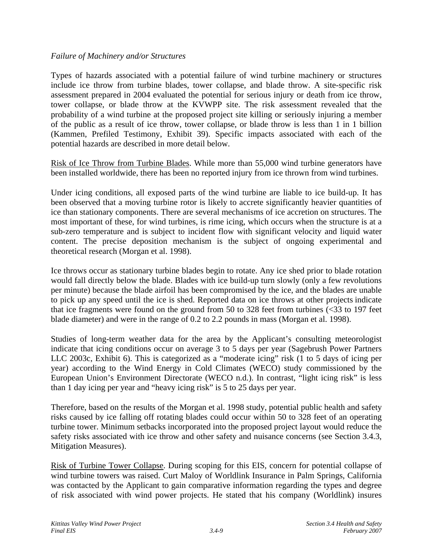## *Failure of Machinery and/or Structures*

Types of hazards associated with a potential failure of wind turbine machinery or structures include ice throw from turbine blades, tower collapse, and blade throw. A site-specific risk assessment prepared in 2004 evaluated the potential for serious injury or death from ice throw, tower collapse, or blade throw at the KVWPP site. The risk assessment revealed that the probability of a wind turbine at the proposed project site killing or seriously injuring a member of the public as a result of ice throw, tower collapse, or blade throw is less than 1 in 1 billion (Kammen, Prefiled Testimony, Exhibit 39). Specific impacts associated with each of the potential hazards are described in more detail below.

Risk of Ice Throw from Turbine Blades. While more than 55,000 wind turbine generators have been installed worldwide, there has been no reported injury from ice thrown from wind turbines.

Under icing conditions, all exposed parts of the wind turbine are liable to ice build-up. It has been observed that a moving turbine rotor is likely to accrete significantly heavier quantities of ice than stationary components. There are several mechanisms of ice accretion on structures. The most important of these, for wind turbines, is rime icing, which occurs when the structure is at a sub-zero temperature and is subject to incident flow with significant velocity and liquid water content. The precise deposition mechanism is the subject of ongoing experimental and theoretical research (Morgan et al. 1998).

Ice throws occur as stationary turbine blades begin to rotate. Any ice shed prior to blade rotation would fall directly below the blade. Blades with ice build-up turn slowly (only a few revolutions per minute) because the blade airfoil has been compromised by the ice, and the blades are unable to pick up any speed until the ice is shed. Reported data on ice throws at other projects indicate that ice fragments were found on the ground from 50 to 328 feet from turbines  $\langle$  <33 to 197 feet blade diameter) and were in the range of 0.2 to 2.2 pounds in mass (Morgan et al. 1998).

Studies of long-term weather data for the area by the Applicant's consulting meteorologist indicate that icing conditions occur on average 3 to 5 days per year (Sagebrush Power Partners LLC 2003c, Exhibit 6). This is categorized as a "moderate icing" risk (1 to 5 days of icing per year) according to the Wind Energy in Cold Climates (WECO) study commissioned by the European Union's Environment Directorate (WECO n.d.). In contrast, "light icing risk" is less than 1 day icing per year and "heavy icing risk" is 5 to 25 days per year.

Therefore, based on the results of the Morgan et al. 1998 study, potential public health and safety risks caused by ice falling off rotating blades could occur within 50 to 328 feet of an operating turbine tower. Minimum setbacks incorporated into the proposed project layout would reduce the safety risks associated with ice throw and other safety and nuisance concerns (see Section 3.4.3, Mitigation Measures).

Risk of Turbine Tower Collapse. During scoping for this EIS, concern for potential collapse of wind turbine towers was raised. Curt Maloy of Worldlink Insurance in Palm Springs, California was contacted by the Applicant to gain comparative information regarding the types and degree of risk associated with wind power projects. He stated that his company (Worldlink) insures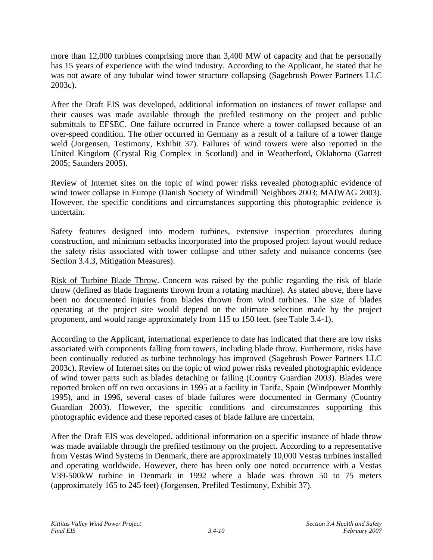more than 12,000 turbines comprising more than 3,400 MW of capacity and that he personally has 15 years of experience with the wind industry. According to the Applicant, he stated that he was not aware of any tubular wind tower structure collapsing (Sagebrush Power Partners LLC 2003c).

After the Draft EIS was developed, additional information on instances of tower collapse and their causes was made available through the prefiled testimony on the project and public submittals to EFSEC. One failure occurred in France where a tower collapsed because of an over-speed condition. The other occurred in Germany as a result of a failure of a tower flange weld (Jorgensen, Testimony, Exhibit 37). Failures of wind towers were also reported in the United Kingdom (Crystal Rig Complex in Scotland) and in Weatherford, Oklahoma (Garrett 2005; Saunders 2005).

Review of Internet sites on the topic of wind power risks revealed photographic evidence of wind tower collapse in Europe (Danish Society of Windmill Neighbors 2003; MAIWAG 2003). However, the specific conditions and circumstances supporting this photographic evidence is uncertain.

Safety features designed into modern turbines, extensive inspection procedures during construction, and minimum setbacks incorporated into the proposed project layout would reduce the safety risks associated with tower collapse and other safety and nuisance concerns (see Section 3.4.3, Mitigation Measures).

Risk of Turbine Blade Throw. Concern was raised by the public regarding the risk of blade throw (defined as blade fragments thrown from a rotating machine). As stated above, there have been no documented injuries from blades thrown from wind turbines. The size of blades operating at the project site would depend on the ultimate selection made by the project proponent, and would range approximately from 115 to 150 feet. (see Table 3.4-1).

According to the Applicant, international experience to date has indicated that there are low risks associated with components falling from towers, including blade throw. Furthermore, risks have been continually reduced as turbine technology has improved (Sagebrush Power Partners LLC 2003c). Review of Internet sites on the topic of wind power risks revealed photographic evidence of wind tower parts such as blades detaching or failing (Country Guardian 2003). Blades were reported broken off on two occasions in 1995 at a facility in Tarifa, Spain (Windpower Monthly 1995), and in 1996, several cases of blade failures were documented in Germany (Country Guardian 2003). However, the specific conditions and circumstances supporting this photographic evidence and these reported cases of blade failure are uncertain.

After the Draft EIS was developed, additional information on a specific instance of blade throw was made available through the prefiled testimony on the project. According to a representative from Vestas Wind Systems in Denmark, there are approximately 10,000 Vestas turbines installed and operating worldwide. However, there has been only one noted occurrence with a Vestas V39-500kW turbine in Denmark in 1992 where a blade was thrown 50 to 75 meters (approximately 165 to 245 feet) (Jorgensen, Prefiled Testimony, Exhibit 37).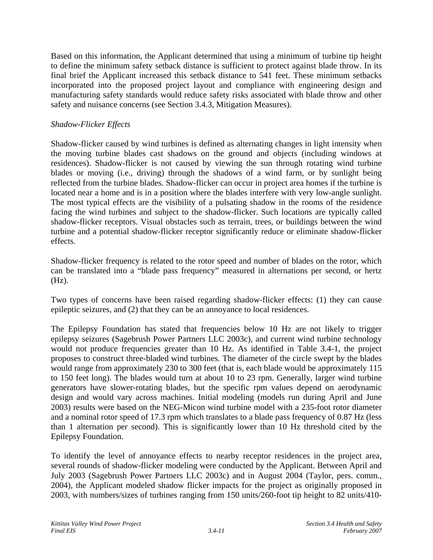Based on this information, the Applicant determined that using a minimum of turbine tip height to define the minimum safety setback distance is sufficient to protect against blade throw. In its final brief the Applicant increased this setback distance to 541 feet. These minimum setbacks incorporated into the proposed project layout and compliance with engineering design and manufacturing safety standards would reduce safety risks associated with blade throw and other safety and nuisance concerns (see Section 3.4.3, Mitigation Measures).

# *Shadow-Flicker Effects*

Shadow-flicker caused by wind turbines is defined as alternating changes in light intensity when the moving turbine blades cast shadows on the ground and objects (including windows at residences). Shadow-flicker is not caused by viewing the sun through rotating wind turbine blades or moving (i.e., driving) through the shadows of a wind farm, or by sunlight being reflected from the turbine blades. Shadow-flicker can occur in project area homes if the turbine is located near a home and is in a position where the blades interfere with very low-angle sunlight. The most typical effects are the visibility of a pulsating shadow in the rooms of the residence facing the wind turbines and subject to the shadow-flicker. Such locations are typically called shadow-flicker receptors. Visual obstacles such as terrain, trees, or buildings between the wind turbine and a potential shadow-flicker receptor significantly reduce or eliminate shadow-flicker effects.

Shadow-flicker frequency is related to the rotor speed and number of blades on the rotor, which can be translated into a "blade pass frequency" measured in alternations per second, or hertz (Hz).

Two types of concerns have been raised regarding shadow-flicker effects: (1) they can cause epileptic seizures, and (2) that they can be an annoyance to local residences.

The Epilepsy Foundation has stated that frequencies below 10 Hz are not likely to trigger epilepsy seizures (Sagebrush Power Partners LLC 2003c), and current wind turbine technology would not produce frequencies greater than 10 Hz. As identified in Table 3.4-1, the project proposes to construct three-bladed wind turbines. The diameter of the circle swept by the blades would range from approximately 230 to 300 feet (that is, each blade would be approximately 115 to 150 feet long). The blades would turn at about 10 to 23 rpm. Generally, larger wind turbine generators have slower-rotating blades, but the specific rpm values depend on aerodynamic design and would vary across machines. Initial modeling (models run during April and June 2003) results were based on the NEG-Micon wind turbine model with a 235-foot rotor diameter and a nominal rotor speed of 17.3 rpm which translates to a blade pass frequency of 0.87 Hz (less than 1 alternation per second). This is significantly lower than 10 Hz threshold cited by the Epilepsy Foundation.

To identify the level of annoyance effects to nearby receptor residences in the project area, several rounds of shadow-flicker modeling were conducted by the Applicant. Between April and July 2003 (Sagebrush Power Partners LLC 2003c) and in August 2004 (Taylor, pers. comm., 2004), the Applicant modeled shadow flicker impacts for the project as originally proposed in 2003, with numbers/sizes of turbines ranging from 150 units/260-foot tip height to 82 units/410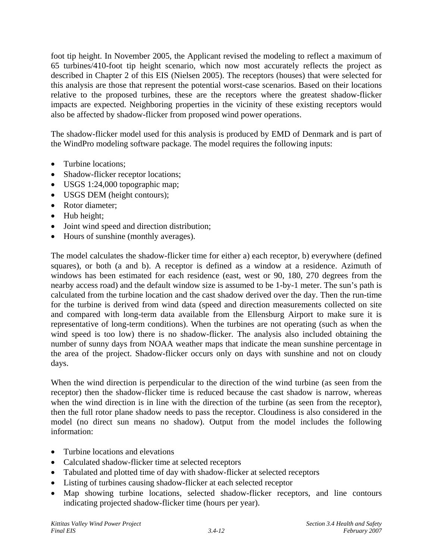foot tip height. In November 2005, the Applicant revised the modeling to reflect a maximum of 65 turbines/410-foot tip height scenario, which now most accurately reflects the project as described in Chapter 2 of this EIS (Nielsen 2005). The receptors (houses) that were selected for this analysis are those that represent the potential worst-case scenarios. Based on their locations relative to the proposed turbines, these are the receptors where the greatest shadow-flicker impacts are expected. Neighboring properties in the vicinity of these existing receptors would also be affected by shadow-flicker from proposed wind power operations.

The shadow-flicker model used for this analysis is produced by EMD of Denmark and is part of the WindPro modeling software package. The model requires the following inputs:

- Turbine locations;
- Shadow-flicker receptor locations;
- USGS 1:24,000 topographic map;
- USGS DEM (height contours);
- Rotor diameter;
- Hub height:
- Joint wind speed and direction distribution;
- Hours of sunshine (monthly averages).

The model calculates the shadow-flicker time for either a) each receptor, b) everywhere (defined squares), or both (a and b). A receptor is defined as a window at a residence. Azimuth of windows has been estimated for each residence (east, west or 90, 180, 270 degrees from the nearby access road) and the default window size is assumed to be 1-by-1 meter. The sun's path is calculated from the turbine location and the cast shadow derived over the day. Then the run-time for the turbine is derived from wind data (speed and direction measurements collected on site and compared with long-term data available from the Ellensburg Airport to make sure it is representative of long-term conditions). When the turbines are not operating (such as when the wind speed is too low) there is no shadow-flicker. The analysis also included obtaining the number of sunny days from NOAA weather maps that indicate the mean sunshine percentage in the area of the project. Shadow-flicker occurs only on days with sunshine and not on cloudy days.

When the wind direction is perpendicular to the direction of the wind turbine (as seen from the receptor) then the shadow-flicker time is reduced because the cast shadow is narrow, whereas when the wind direction is in line with the direction of the turbine (as seen from the receptor), then the full rotor plane shadow needs to pass the receptor. Cloudiness is also considered in the model (no direct sun means no shadow). Output from the model includes the following information:

- Turbine locations and elevations
- Calculated shadow-flicker time at selected receptors
- Tabulated and plotted time of day with shadow-flicker at selected receptors
- Listing of turbines causing shadow-flicker at each selected receptor
- Map showing turbine locations, selected shadow-flicker receptors, and line contours indicating projected shadow-flicker time (hours per year).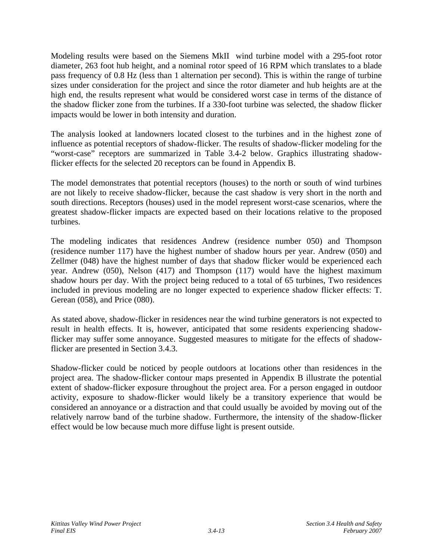Modeling results were based on the Siemens MkII wind turbine model with a 295-foot rotor diameter, 263 foot hub height, and a nominal rotor speed of 16 RPM which translates to a blade pass frequency of 0.8 Hz (less than 1 alternation per second). This is within the range of turbine sizes under consideration for the project and since the rotor diameter and hub heights are at the high end, the results represent what would be considered worst case in terms of the distance of the shadow flicker zone from the turbines. If a 330-foot turbine was selected, the shadow flicker impacts would be lower in both intensity and duration.

The analysis looked at landowners located closest to the turbines and in the highest zone of influence as potential receptors of shadow-flicker. The results of shadow-flicker modeling for the "worst-case" receptors are summarized in Table 3.4-2 below. Graphics illustrating shadowflicker effects for the selected 20 receptors can be found in Appendix B.

The model demonstrates that potential receptors (houses) to the north or south of wind turbines are not likely to receive shadow-flicker, because the cast shadow is very short in the north and south directions. Receptors (houses) used in the model represent worst-case scenarios, where the greatest shadow-flicker impacts are expected based on their locations relative to the proposed turbines.

The modeling indicates that residences Andrew (residence number 050) and Thompson (residence number 117) have the highest number of shadow hours per year. Andrew (050) and Zellmer (048) have the highest number of days that shadow flicker would be experienced each year. Andrew (050), Nelson (417) and Thompson (117) would have the highest maximum shadow hours per day. With the project being reduced to a total of 65 turbines, Two residences included in previous modeling are no longer expected to experience shadow flicker effects: T. Gerean (058), and Price (080).

As stated above, shadow-flicker in residences near the wind turbine generators is not expected to result in health effects. It is, however, anticipated that some residents experiencing shadowflicker may suffer some annoyance. Suggested measures to mitigate for the effects of shadowflicker are presented in Section 3.4.3.

Shadow-flicker could be noticed by people outdoors at locations other than residences in the project area. The shadow-flicker contour maps presented in Appendix B illustrate the potential extent of shadow-flicker exposure throughout the project area. For a person engaged in outdoor activity, exposure to shadow-flicker would likely be a transitory experience that would be considered an annoyance or a distraction and that could usually be avoided by moving out of the relatively narrow band of the turbine shadow. Furthermore, the intensity of the shadow-flicker effect would be low because much more diffuse light is present outside.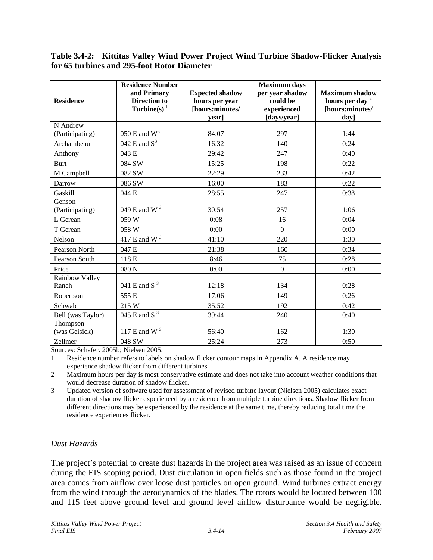### **Table 3.4-2: Kittitas Valley Wind Power Project Wind Turbine Shadow-Flicker Analysis for 65 turbines and 295-foot Rotor Diameter**

| <b>Residence</b>            | <b>Residence Number</b><br>and Primary<br><b>Direction to</b><br>Turbine(s) $1$ | <b>Expected shadow</b><br>hours per year<br>[hours:minutes/<br>vear] | <b>Maximum</b> days<br>per year shadow<br>could be<br>experienced<br>[days/year] | <b>Maximum shadow</b><br>hours per day <sup>2</sup><br>[hours:minutes/<br>day] |
|-----------------------------|---------------------------------------------------------------------------------|----------------------------------------------------------------------|----------------------------------------------------------------------------------|--------------------------------------------------------------------------------|
| N Andrew<br>(Participating) | 050 E and $W^3$                                                                 | 84:07                                                                | 297                                                                              | 1:44                                                                           |
| Archambeau                  | 042 E and $S3$                                                                  | 16:32                                                                | 140                                                                              | 0:24                                                                           |
| Anthony                     | 043 E                                                                           | 29:42                                                                | 247                                                                              | 0:40                                                                           |
| <b>Burt</b>                 | 084 SW                                                                          | 15:25                                                                | 198                                                                              | 0:22                                                                           |
| M Campbell                  | 082 SW                                                                          | 22:29                                                                | 233                                                                              | 0:42                                                                           |
| Darrow                      | 086 SW                                                                          | 16:00                                                                | 183                                                                              | 0:22                                                                           |
| Gaskill                     | 044 E                                                                           | 28:55                                                                | 247                                                                              | 0:38                                                                           |
| Genson<br>(Participating)   | 049 E and W <sup>3</sup>                                                        | 30:54                                                                | 257                                                                              | 1:06                                                                           |
| L Gerean                    | 059 W                                                                           | 0:08                                                                 | 16                                                                               | 0:04                                                                           |
| T Gerean                    | 058 W                                                                           | 0:00                                                                 | $\boldsymbol{0}$                                                                 | 0:00                                                                           |
| Nelson                      | $417 \to$ and W $^3$                                                            | 41:10                                                                | 220                                                                              | 1:30                                                                           |
| Pearson North               | 047 E                                                                           | 21:38                                                                | 160                                                                              | 0:34                                                                           |
| Pearson South               | 118 E                                                                           | 8:46                                                                 | 75                                                                               | 0:28                                                                           |
| Price                       | 080 N                                                                           | 0:00                                                                 | $\boldsymbol{0}$                                                                 | 0:00                                                                           |
| Rainbow Valley<br>Ranch     | 041 E and S $^3$                                                                | 12:18                                                                | 134                                                                              | 0:28                                                                           |
| Robertson                   | 555 E                                                                           | 17:06                                                                | 149                                                                              | 0:26                                                                           |
| Schwab                      | 215 W                                                                           | 35:52                                                                | 192                                                                              | 0:42                                                                           |
| Bell (was Taylor)           | $045$ E and S <sup>3</sup>                                                      | 39:44                                                                | 240                                                                              | 0:40                                                                           |
| Thompson<br>(was Geisick)   | $117 \to$ and W $^3$                                                            | 56:40                                                                | 162                                                                              | 1:30                                                                           |
| Zellmer                     | 048 SW                                                                          | 25:24                                                                | 273                                                                              | 0:50                                                                           |

Sources: Schafer. 2005b; Nielsen 2005.

1 Residence number refers to labels on shadow flicker contour maps in Appendix A. A residence may experience shadow flicker from different turbines.

2 Maximum hours per day is most conservative estimate and does not take into account weather conditions that would decrease duration of shadow flicker.

3 Updated version of software used for assessment of revised turbine layout (Nielsen 2005) calculates exact duration of shadow flicker experienced by a residence from multiple turbine directions. Shadow flicker from different directions may be experienced by the residence at the same time, thereby reducing total time the residence experiences flicker.

# *Dust Hazards*

The project's potential to create dust hazards in the project area was raised as an issue of concern during the EIS scoping period. Dust circulation in open fields such as those found in the project area comes from airflow over loose dust particles on open ground. Wind turbines extract energy from the wind through the aerodynamics of the blades. The rotors would be located between 100 and 115 feet above ground level and ground level airflow disturbance would be negligible.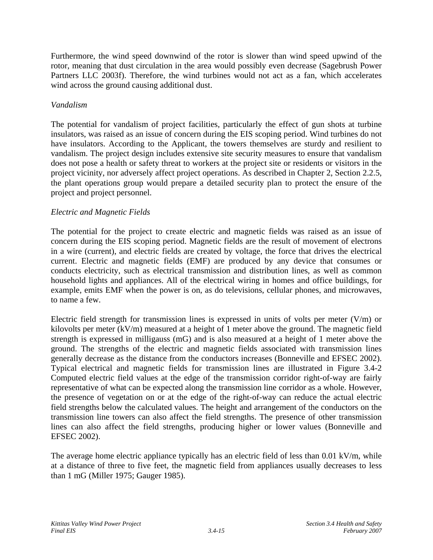Furthermore, the wind speed downwind of the rotor is slower than wind speed upwind of the rotor, meaning that dust circulation in the area would possibly even decrease (Sagebrush Power Partners LLC 2003f). Therefore, the wind turbines would not act as a fan, which accelerates wind across the ground causing additional dust.

# *Vandalism*

The potential for vandalism of project facilities, particularly the effect of gun shots at turbine insulators, was raised as an issue of concern during the EIS scoping period. Wind turbines do not have insulators. According to the Applicant, the towers themselves are sturdy and resilient to vandalism. The project design includes extensive site security measures to ensure that vandalism does not pose a health or safety threat to workers at the project site or residents or visitors in the project vicinity, nor adversely affect project operations. As described in Chapter 2, Section 2.2.5, the plant operations group would prepare a detailed security plan to protect the ensure of the project and project personnel.

# *Electric and Magnetic Fields*

The potential for the project to create electric and magnetic fields was raised as an issue of concern during the EIS scoping period. Magnetic fields are the result of movement of electrons in a wire (current), and electric fields are created by voltage, the force that drives the electrical current. Electric and magnetic fields (EMF) are produced by any device that consumes or conducts electricity, such as electrical transmission and distribution lines, as well as common household lights and appliances. All of the electrical wiring in homes and office buildings, for example, emits EMF when the power is on, as do televisions, cellular phones, and microwaves, to name a few.

Electric field strength for transmission lines is expressed in units of volts per meter  $(V/m)$  or kilovolts per meter (kV/m) measured at a height of 1 meter above the ground. The magnetic field strength is expressed in milligauss (mG) and is also measured at a height of 1 meter above the ground. The strengths of the electric and magnetic fields associated with transmission lines generally decrease as the distance from the conductors increases (Bonneville and EFSEC 2002). Typical electrical and magnetic fields for transmission lines are illustrated in Figure 3.4-2 Computed electric field values at the edge of the transmission corridor right-of-way are fairly representative of what can be expected along the transmission line corridor as a whole. However, the presence of vegetation on or at the edge of the right-of-way can reduce the actual electric field strengths below the calculated values. The height and arrangement of the conductors on the transmission line towers can also affect the field strengths. The presence of other transmission lines can also affect the field strengths, producing higher or lower values (Bonneville and EFSEC 2002).

The average home electric appliance typically has an electric field of less than 0.01 kV/m, while at a distance of three to five feet, the magnetic field from appliances usually decreases to less than 1 mG (Miller 1975; Gauger 1985).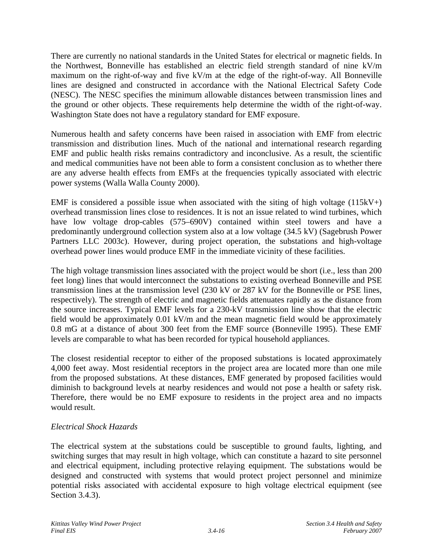There are currently no national standards in the United States for electrical or magnetic fields. In the Northwest, Bonneville has established an electric field strength standard of nine kV/m maximum on the right-of-way and five kV/m at the edge of the right-of-way. All Bonneville lines are designed and constructed in accordance with the National Electrical Safety Code (NESC). The NESC specifies the minimum allowable distances between transmission lines and the ground or other objects. These requirements help determine the width of the right-of-way. Washington State does not have a regulatory standard for EMF exposure.

Numerous health and safety concerns have been raised in association with EMF from electric transmission and distribution lines. Much of the national and international research regarding EMF and public health risks remains contradictory and inconclusive. As a result, the scientific and medical communities have not been able to form a consistent conclusion as to whether there are any adverse health effects from EMFs at the frequencies typically associated with electric power systems (Walla Walla County 2000).

EMF is considered a possible issue when associated with the siting of high voltage  $(115kV+)$ overhead transmission lines close to residences. It is not an issue related to wind turbines, which have low voltage drop-cables (575–690V) contained within steel towers and have a predominantly underground collection system also at a low voltage (34.5 kV) (Sagebrush Power Partners LLC 2003c). However, during project operation, the substations and high-voltage overhead power lines would produce EMF in the immediate vicinity of these facilities.

The high voltage transmission lines associated with the project would be short (i.e., less than 200 feet long) lines that would interconnect the substations to existing overhead Bonneville and PSE transmission lines at the transmission level (230 kV or 287 kV for the Bonneville or PSE lines, respectively). The strength of electric and magnetic fields attenuates rapidly as the distance from the source increases. Typical EMF levels for a 230-kV transmission line show that the electric field would be approximately 0.01 kV/m and the mean magnetic field would be approximately 0.8 mG at a distance of about 300 feet from the EMF source (Bonneville 1995). These EMF levels are comparable to what has been recorded for typical household appliances.

The closest residential receptor to either of the proposed substations is located approximately 4,000 feet away. Most residential receptors in the project area are located more than one mile from the proposed substations. At these distances, EMF generated by proposed facilities would diminish to background levels at nearby residences and would not pose a health or safety risk. Therefore, there would be no EMF exposure to residents in the project area and no impacts would result.

# *Electrical Shock Hazards*

The electrical system at the substations could be susceptible to ground faults, lighting, and switching surges that may result in high voltage, which can constitute a hazard to site personnel and electrical equipment, including protective relaying equipment. The substations would be designed and constructed with systems that would protect project personnel and minimize potential risks associated with accidental exposure to high voltage electrical equipment (see Section 3.4.3).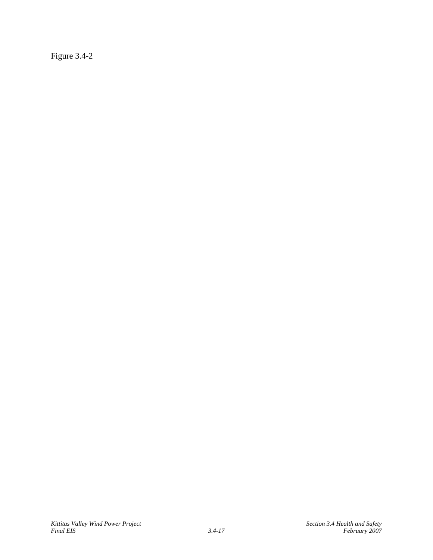Figure 3.4-2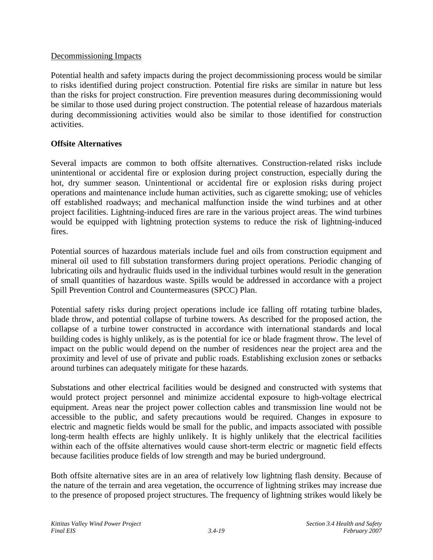## Decommissioning Impacts

Potential health and safety impacts during the project decommissioning process would be similar to risks identified during project construction. Potential fire risks are similar in nature but less than the risks for project construction. Fire prevention measures during decommissioning would be similar to those used during project construction. The potential release of hazardous materials during decommissioning activities would also be similar to those identified for construction activities.

## **Offsite Alternatives**

Several impacts are common to both offsite alternatives. Construction-related risks include unintentional or accidental fire or explosion during project construction, especially during the hot, dry summer season. Unintentional or accidental fire or explosion risks during project operations and maintenance include human activities, such as cigarette smoking; use of vehicles off established roadways; and mechanical malfunction inside the wind turbines and at other project facilities. Lightning-induced fires are rare in the various project areas. The wind turbines would be equipped with lightning protection systems to reduce the risk of lightning-induced fires.

Potential sources of hazardous materials include fuel and oils from construction equipment and mineral oil used to fill substation transformers during project operations. Periodic changing of lubricating oils and hydraulic fluids used in the individual turbines would result in the generation of small quantities of hazardous waste. Spills would be addressed in accordance with a project Spill Prevention Control and Countermeasures (SPCC) Plan.

Potential safety risks during project operations include ice falling off rotating turbine blades, blade throw, and potential collapse of turbine towers. As described for the proposed action, the collapse of a turbine tower constructed in accordance with international standards and local building codes is highly unlikely, as is the potential for ice or blade fragment throw. The level of impact on the public would depend on the number of residences near the project area and the proximity and level of use of private and public roads. Establishing exclusion zones or setbacks around turbines can adequately mitigate for these hazards.

Substations and other electrical facilities would be designed and constructed with systems that would protect project personnel and minimize accidental exposure to high-voltage electrical equipment. Areas near the project power collection cables and transmission line would not be accessible to the public, and safety precautions would be required. Changes in exposure to electric and magnetic fields would be small for the public, and impacts associated with possible long-term health effects are highly unlikely. It is highly unlikely that the electrical facilities within each of the offsite alternatives would cause short-term electric or magnetic field effects because facilities produce fields of low strength and may be buried underground.

Both offsite alternative sites are in an area of relatively low lightning flash density. Because of the nature of the terrain and area vegetation, the occurrence of lightning strikes may increase due to the presence of proposed project structures. The frequency of lightning strikes would likely be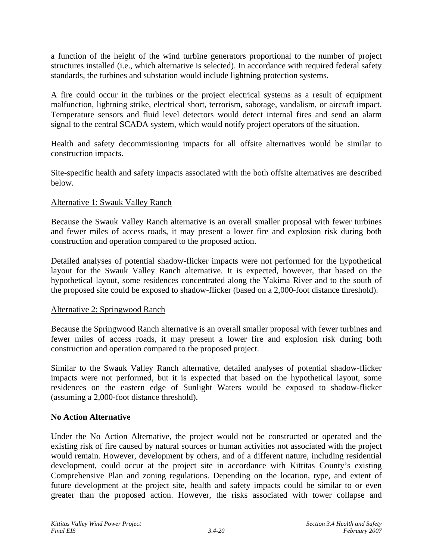a function of the height of the wind turbine generators proportional to the number of project structures installed (i.e., which alternative is selected). In accordance with required federal safety standards, the turbines and substation would include lightning protection systems.

A fire could occur in the turbines or the project electrical systems as a result of equipment malfunction, lightning strike, electrical short, terrorism, sabotage, vandalism, or aircraft impact. Temperature sensors and fluid level detectors would detect internal fires and send an alarm signal to the central SCADA system, which would notify project operators of the situation.

Health and safety decommissioning impacts for all offsite alternatives would be similar to construction impacts.

Site-specific health and safety impacts associated with the both offsite alternatives are described below.

### Alternative 1: Swauk Valley Ranch

Because the Swauk Valley Ranch alternative is an overall smaller proposal with fewer turbines and fewer miles of access roads, it may present a lower fire and explosion risk during both construction and operation compared to the proposed action.

Detailed analyses of potential shadow-flicker impacts were not performed for the hypothetical layout for the Swauk Valley Ranch alternative. It is expected, however, that based on the hypothetical layout, some residences concentrated along the Yakima River and to the south of the proposed site could be exposed to shadow-flicker (based on a 2,000-foot distance threshold).

### Alternative 2: Springwood Ranch

Because the Springwood Ranch alternative is an overall smaller proposal with fewer turbines and fewer miles of access roads, it may present a lower fire and explosion risk during both construction and operation compared to the proposed project.

Similar to the Swauk Valley Ranch alternative, detailed analyses of potential shadow-flicker impacts were not performed, but it is expected that based on the hypothetical layout, some residences on the eastern edge of Sunlight Waters would be exposed to shadow-flicker (assuming a 2,000-foot distance threshold).

## **No Action Alternative**

Under the No Action Alternative, the project would not be constructed or operated and the existing risk of fire caused by natural sources or human activities not associated with the project would remain. However, development by others, and of a different nature, including residential development, could occur at the project site in accordance with Kittitas County's existing Comprehensive Plan and zoning regulations. Depending on the location, type, and extent of future development at the project site, health and safety impacts could be similar to or even greater than the proposed action. However, the risks associated with tower collapse and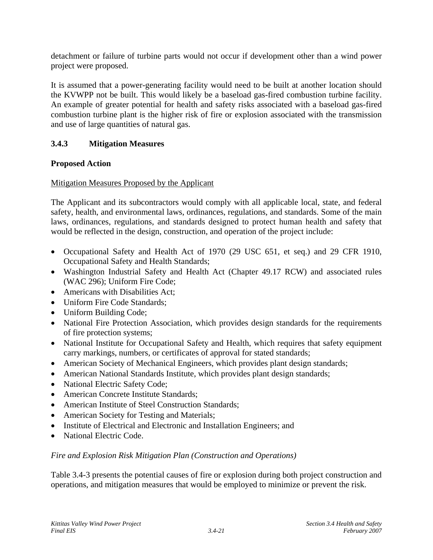detachment or failure of turbine parts would not occur if development other than a wind power project were proposed.

It is assumed that a power-generating facility would need to be built at another location should the KVWPP not be built. This would likely be a baseload gas-fired combustion turbine facility. An example of greater potential for health and safety risks associated with a baseload gas-fired combustion turbine plant is the higher risk of fire or explosion associated with the transmission and use of large quantities of natural gas.

# **3.4.3 Mitigation Measures**

# **Proposed Action**

# Mitigation Measures Proposed by the Applicant

The Applicant and its subcontractors would comply with all applicable local, state, and federal safety, health, and environmental laws, ordinances, regulations, and standards. Some of the main laws, ordinances, regulations, and standards designed to protect human health and safety that would be reflected in the design, construction, and operation of the project include:

- Occupational Safety and Health Act of 1970 (29 USC 651, et seq.) and 29 CFR 1910, Occupational Safety and Health Standards;
- Washington Industrial Safety and Health Act (Chapter 49.17 RCW) and associated rules (WAC 296); Uniform Fire Code;
- Americans with Disabilities Act;
- Uniform Fire Code Standards:
- Uniform Building Code;
- National Fire Protection Association, which provides design standards for the requirements of fire protection systems;
- National Institute for Occupational Safety and Health, which requires that safety equipment carry markings, numbers, or certificates of approval for stated standards;
- American Society of Mechanical Engineers, which provides plant design standards;
- American National Standards Institute, which provides plant design standards;
- National Electric Safety Code;
- American Concrete Institute Standards:
- American Institute of Steel Construction Standards;
- American Society for Testing and Materials;
- Institute of Electrical and Electronic and Installation Engineers; and
- National Electric Code.

## *Fire and Explosion Risk Mitigation Plan (Construction and Operations)*

Table 3.4-3 presents the potential causes of fire or explosion during both project construction and operations, and mitigation measures that would be employed to minimize or prevent the risk.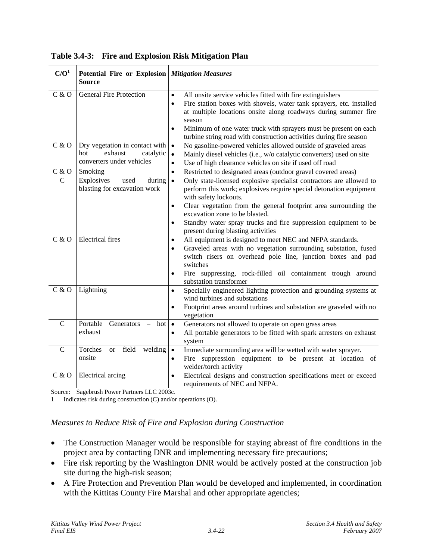| C/O <sup>1</sup> | Potential Fire or Explosion Mitigation Measures<br><b>Source</b>                                   |                                                                                                                                                                                                                                                                                                                                                                                                  |
|------------------|----------------------------------------------------------------------------------------------------|--------------------------------------------------------------------------------------------------------------------------------------------------------------------------------------------------------------------------------------------------------------------------------------------------------------------------------------------------------------------------------------------------|
| C & O            | <b>General Fire Protection</b>                                                                     | All onsite service vehicles fitted with fire extinguishers<br>$\bullet$<br>Fire station boxes with shovels, water tank sprayers, etc. installed<br>$\bullet$<br>at multiple locations onsite along roadways during summer fire<br>season<br>Minimum of one water truck with sprayers must be present on each<br>$\bullet$<br>turbine string road with construction activities during fire season |
| C & O            | Dry vegetation in contact with $\cdot$<br>exhaust<br>hot<br>catalytic<br>converters under vehicles | No gasoline-powered vehicles allowed outside of graveled areas<br>Mainly diesel vehicles (i.e., w/o catalytic converters) used on site<br>$\bullet$<br>Use of high clearance vehicles on site if used off road<br>$\bullet$                                                                                                                                                                      |
| C & O            | Smoking                                                                                            | Restricted to designated areas (outdoor gravel covered areas)<br>$\bullet$                                                                                                                                                                                                                                                                                                                       |
| $\mathcal{C}$    | Explosives<br>used<br>during<br>blasting for excavation work                                       | Only state-licensed explosive specialist contractors are allowed to<br>$\bullet$<br>perform this work; explosives require special detonation equipment<br>with safety lockouts.                                                                                                                                                                                                                  |
|                  |                                                                                                    | Clear vegetation from the general footprint area surrounding the<br>$\bullet$<br>excavation zone to be blasted.<br>Standby water spray trucks and fire suppression equipment to be<br>present during blasting activities                                                                                                                                                                         |
| C & O            | <b>Electrical fires</b>                                                                            | All equipment is designed to meet NEC and NFPA standards.<br>$\bullet$<br>Graveled areas with no vegetation surrounding substation, fused<br>$\bullet$<br>switch risers on overhead pole line, junction boxes and pad<br>switches<br>Fire suppressing, rock-filled oil containment trough around<br>$\bullet$<br>substation transformer                                                          |
| C & O            | Lightning                                                                                          | Specially engineered lighting protection and grounding systems at<br>$\bullet$<br>wind turbines and substations<br>Footprint areas around turbines and substation are graveled with no<br>$\bullet$<br>vegetation                                                                                                                                                                                |
| $\mathcal{C}$    | Portable<br>Generators<br>hot l<br>exhaust                                                         | Generators not allowed to operate on open grass areas<br>$\bullet$<br>All portable generators to be fitted with spark arresters on exhaust<br>$\bullet$<br>system                                                                                                                                                                                                                                |
| $\mathbf C$      | Torches<br>field<br>welding<br><sub>or</sub><br>onsite                                             | Immediate surrounding area will be wetted with water sprayer.<br>$\bullet$<br>Fire suppression equipment to be present at location of<br>$\bullet$<br>welder/torch activity                                                                                                                                                                                                                      |
| C & O            | Electrical arcing                                                                                  | Electrical designs and construction specifications meet or exceed<br>$\bullet$<br>requirements of NEC and NFPA.                                                                                                                                                                                                                                                                                  |

**Table 3.4-3: Fire and Explosion Risk Mitigation Plan** 

Source: Sagebrush Power Partners LLC 2003c.

1 Indicates risk during construction (C) and/or operations (O).

### *Measures to Reduce Risk of Fire and Explosion during Construction*

- The Construction Manager would be responsible for staying abreast of fire conditions in the project area by contacting DNR and implementing necessary fire precautions;
- Fire risk reporting by the Washington DNR would be actively posted at the construction job site during the high-risk season;
- A Fire Protection and Prevention Plan would be developed and implemented, in coordination with the Kittitas County Fire Marshal and other appropriate agencies;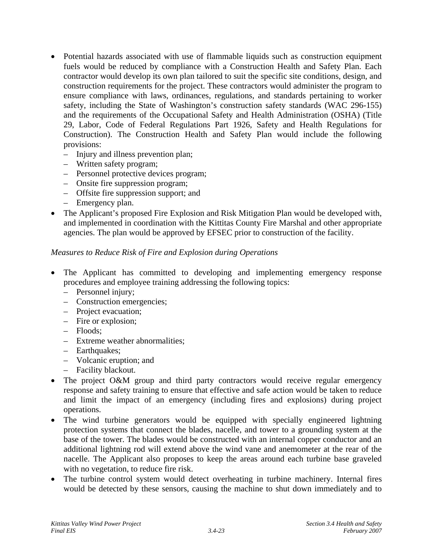- Potential hazards associated with use of flammable liquids such as construction equipment fuels would be reduced by compliance with a Construction Health and Safety Plan. Each contractor would develop its own plan tailored to suit the specific site conditions, design, and construction requirements for the project. These contractors would administer the program to ensure compliance with laws, ordinances, regulations, and standards pertaining to worker safety, including the State of Washington's construction safety standards (WAC 296-155) and the requirements of the Occupational Safety and Health Administration (OSHA) (Title 29, Labor, Code of Federal Regulations Part 1926, Safety and Health Regulations for Construction). The Construction Health and Safety Plan would include the following provisions:
	- Injury and illness prevention plan;
	- Written safety program;
	- Personnel protective devices program;
	- Onsite fire suppression program;
	- Offsite fire suppression support; and
	- Emergency plan.
- The Applicant's proposed Fire Explosion and Risk Mitigation Plan would be developed with, and implemented in coordination with the Kittitas County Fire Marshal and other appropriate agencies. The plan would be approved by EFSEC prior to construction of the facility.

## *Measures to Reduce Risk of Fire and Explosion during Operations*

- The Applicant has committed to developing and implementing emergency response procedures and employee training addressing the following topics:
	- Personnel injury;
	- Construction emergencies;
	- Project evacuation;
	- Fire or explosion;
	- Floods;
	- Extreme weather abnormalities;
	- Earthquakes;
	- Volcanic eruption; and
	- Facility blackout.
- The project O&M group and third party contractors would receive regular emergency response and safety training to ensure that effective and safe action would be taken to reduce and limit the impact of an emergency (including fires and explosions) during project operations.
- The wind turbine generators would be equipped with specially engineered lightning protection systems that connect the blades, nacelle, and tower to a grounding system at the base of the tower. The blades would be constructed with an internal copper conductor and an additional lightning rod will extend above the wind vane and anemometer at the rear of the nacelle. The Applicant also proposes to keep the areas around each turbine base graveled with no vegetation, to reduce fire risk.
- The turbine control system would detect overheating in turbine machinery. Internal fires would be detected by these sensors, causing the machine to shut down immediately and to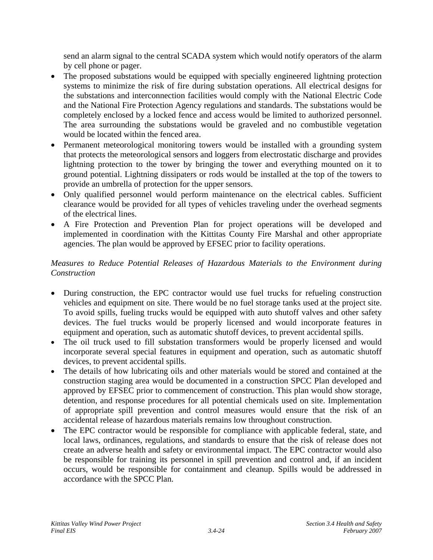send an alarm signal to the central SCADA system which would notify operators of the alarm by cell phone or pager.

- The proposed substations would be equipped with specially engineered lightning protection systems to minimize the risk of fire during substation operations. All electrical designs for the substations and interconnection facilities would comply with the National Electric Code and the National Fire Protection Agency regulations and standards. The substations would be completely enclosed by a locked fence and access would be limited to authorized personnel. The area surrounding the substations would be graveled and no combustible vegetation would be located within the fenced area.
- Permanent meteorological monitoring towers would be installed with a grounding system that protects the meteorological sensors and loggers from electrostatic discharge and provides lightning protection to the tower by bringing the tower and everything mounted on it to ground potential. Lightning dissipaters or rods would be installed at the top of the towers to provide an umbrella of protection for the upper sensors.
- Only qualified personnel would perform maintenance on the electrical cables. Sufficient clearance would be provided for all types of vehicles traveling under the overhead segments of the electrical lines.
- A Fire Protection and Prevention Plan for project operations will be developed and implemented in coordination with the Kittitas County Fire Marshal and other appropriate agencies. The plan would be approved by EFSEC prior to facility operations.

# *Measures to Reduce Potential Releases of Hazardous Materials to the Environment during Construction*

- During construction, the EPC contractor would use fuel trucks for refueling construction vehicles and equipment on site. There would be no fuel storage tanks used at the project site. To avoid spills, fueling trucks would be equipped with auto shutoff valves and other safety devices. The fuel trucks would be properly licensed and would incorporate features in equipment and operation, such as automatic shutoff devices, to prevent accidental spills.
- The oil truck used to fill substation transformers would be properly licensed and would incorporate several special features in equipment and operation, such as automatic shutoff devices, to prevent accidental spills.
- The details of how lubricating oils and other materials would be stored and contained at the construction staging area would be documented in a construction SPCC Plan developed and approved by EFSEC prior to commencement of construction. This plan would show storage, detention, and response procedures for all potential chemicals used on site. Implementation of appropriate spill prevention and control measures would ensure that the risk of an accidental release of hazardous materials remains low throughout construction.
- The EPC contractor would be responsible for compliance with applicable federal, state, and local laws, ordinances, regulations, and standards to ensure that the risk of release does not create an adverse health and safety or environmental impact. The EPC contractor would also be responsible for training its personnel in spill prevention and control and, if an incident occurs, would be responsible for containment and cleanup. Spills would be addressed in accordance with the SPCC Plan.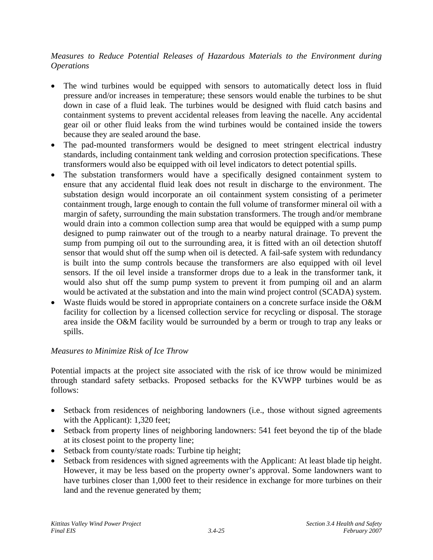# *Measures to Reduce Potential Releases of Hazardous Materials to the Environment during Operations*

- The wind turbines would be equipped with sensors to automatically detect loss in fluid pressure and/or increases in temperature; these sensors would enable the turbines to be shut down in case of a fluid leak. The turbines would be designed with fluid catch basins and containment systems to prevent accidental releases from leaving the nacelle. Any accidental gear oil or other fluid leaks from the wind turbines would be contained inside the towers because they are sealed around the base.
- The pad-mounted transformers would be designed to meet stringent electrical industry standards, including containment tank welding and corrosion protection specifications. These transformers would also be equipped with oil level indicators to detect potential spills.
- The substation transformers would have a specifically designed containment system to ensure that any accidental fluid leak does not result in discharge to the environment. The substation design would incorporate an oil containment system consisting of a perimeter containment trough, large enough to contain the full volume of transformer mineral oil with a margin of safety, surrounding the main substation transformers. The trough and/or membrane would drain into a common collection sump area that would be equipped with a sump pump designed to pump rainwater out of the trough to a nearby natural drainage. To prevent the sump from pumping oil out to the surrounding area, it is fitted with an oil detection shutoff sensor that would shut off the sump when oil is detected. A fail-safe system with redundancy is built into the sump controls because the transformers are also equipped with oil level sensors. If the oil level inside a transformer drops due to a leak in the transformer tank, it would also shut off the sump pump system to prevent it from pumping oil and an alarm would be activated at the substation and into the main wind project control (SCADA) system.
- Waste fluids would be stored in appropriate containers on a concrete surface inside the O&M facility for collection by a licensed collection service for recycling or disposal. The storage area inside the O&M facility would be surrounded by a berm or trough to trap any leaks or spills.

## *Measures to Minimize Risk of Ice Throw*

Potential impacts at the project site associated with the risk of ice throw would be minimized through standard safety setbacks. Proposed setbacks for the KVWPP turbines would be as follows:

- Setback from residences of neighboring landowners (i.e., those without signed agreements with the Applicant): 1,320 feet;
- Setback from property lines of neighboring landowners: 541 feet beyond the tip of the blade at its closest point to the property line;
- Setback from county/state roads: Turbine tip height;
- Setback from residences with signed agreements with the Applicant: At least blade tip height. However, it may be less based on the property owner's approval. Some landowners want to have turbines closer than 1,000 feet to their residence in exchange for more turbines on their land and the revenue generated by them;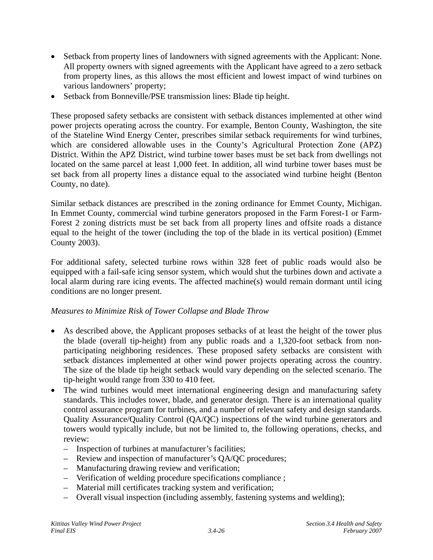- Setback from property lines of landowners with signed agreements with the Applicant: None. All property owners with signed agreements with the Applicant have agreed to a zero setback from property lines, as this allows the most efficient and lowest impact of wind turbines on various landowners' property;
- Setback from Bonneville/PSE transmission lines: Blade tip height.

These proposed safety setbacks are consistent with setback distances implemented at other wind power projects operating across the country. For example, Benton County, Washington, the site of the Stateline Wind Energy Center, prescribes similar setback requirements for wind turbines, which are considered allowable uses in the County's Agricultural Protection Zone (APZ) District. Within the APZ District, wind turbine tower bases must be set back from dwellings not located on the same parcel at least 1,000 feet. In addition, all wind turbine tower bases must be set back from all property lines a distance equal to the associated wind turbine height (Benton County, no date).

Similar setback distances are prescribed in the zoning ordinance for Emmet County, Michigan. In Emmet County, commercial wind turbine generators proposed in the Farm Forest-1 or Farm-Forest 2 zoning districts must be set back from all property lines and offsite roads a distance equal to the height of the tower (including the top of the blade in its vertical position) (Emmet County 2003).

For additional safety, selected turbine rows within 328 feet of public roads would also be equipped with a fail-safe icing sensor system, which would shut the turbines down and activate a local alarm during rare icing events. The affected machine(s) would remain dormant until icing conditions are no longer present.

## *Measures to Minimize Risk of Tower Collapse and Blade Throw*

- As described above, the Applicant proposes setbacks of at least the height of the tower plus the blade (overall tip-height) from any public roads and a 1,320-foot setback from nonparticipating neighboring residences. These proposed safety setbacks are consistent with setback distances implemented at other wind power projects operating across the country. The size of the blade tip height setback would vary depending on the selected scenario. The tip-height would range from 330 to 410 feet.
- The wind turbines would meet international engineering design and manufacturing safety standards. This includes tower, blade, and generator design. There is an international quality control assurance program for turbines, and a number of relevant safety and design standards. Quality Assurance/Quality Control (QA/QC) inspections of the wind turbine generators and towers would typically include, but not be limited to, the following operations, checks, and review:
	- Inspection of turbines at manufacturer's facilities;
	- Review and inspection of manufacturer's QA/QC procedures;
	- Manufacturing drawing review and verification;
	- Verification of welding procedure specifications compliance ;
	- Material mill certificates tracking system and verification;
	- Overall visual inspection (including assembly, fastening systems and welding);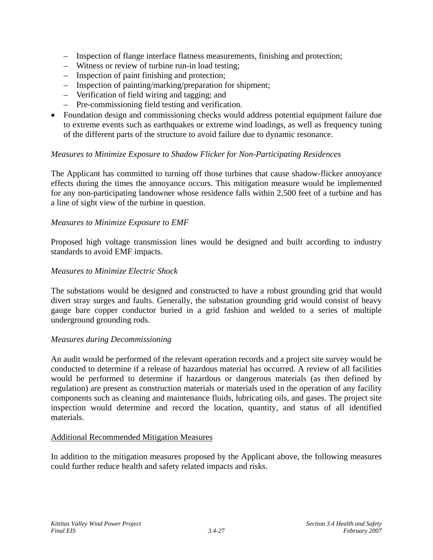- Inspection of flange interface flatness measurements, finishing and protection;
- Witness or review of turbine run-in load testing;
- Inspection of paint finishing and protection;
- Inspection of painting/marking/preparation for shipment;
- Verification of field wiring and tagging; and
- Pre-commissioning field testing and verification.
- Foundation design and commissioning checks would address potential equipment failure due to extreme events such as earthquakes or extreme wind loadings, as well as frequency tuning of the different parts of the structure to avoid failure due to dynamic resonance.

### *Measures to Minimize Exposure to Shadow Flicker for Non-Participating Residences*

The Applicant has committed to turning off those turbines that cause shadow-flicker annoyance effects during the times the annoyance occurs. This mitigation measure would be implemented for any non-participating landowner whose residence falls within 2,500 feet of a turbine and has a line of sight view of the turbine in question.

### *Measures to Minimize Exposure to EMF*

Proposed high voltage transmission lines would be designed and built according to industry standards to avoid EMF impacts.

### *Measures to Minimize Electric Shock*

The substations would be designed and constructed to have a robust grounding grid that would divert stray surges and faults. Generally, the substation grounding grid would consist of heavy gauge bare copper conductor buried in a grid fashion and welded to a series of multiple underground grounding rods.

### *Measures during Decommissioning*

An audit would be performed of the relevant operation records and a project site survey would be conducted to determine if a release of hazardous material has occurred. A review of all facilities would be performed to determine if hazardous or dangerous materials (as then defined by regulation) are present as construction materials or materials used in the operation of any facility components such as cleaning and maintenance fluids, lubricating oils, and gases. The project site inspection would determine and record the location, quantity, and status of all identified materials.

### Additional Recommended Mitigation Measures

In addition to the mitigation measures proposed by the Applicant above, the following measures could further reduce health and safety related impacts and risks.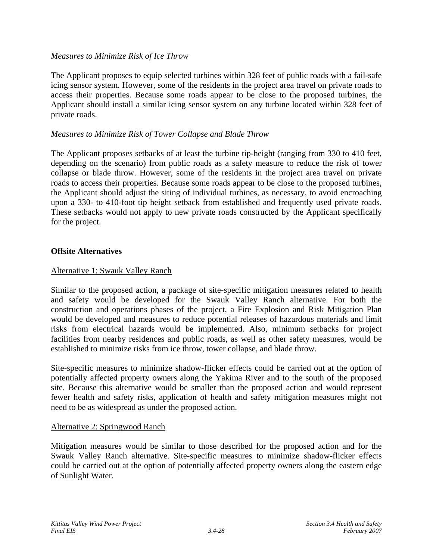### *Measures to Minimize Risk of Ice Throw*

The Applicant proposes to equip selected turbines within 328 feet of public roads with a fail-safe icing sensor system. However, some of the residents in the project area travel on private roads to access their properties. Because some roads appear to be close to the proposed turbines, the Applicant should install a similar icing sensor system on any turbine located within 328 feet of private roads.

## *Measures to Minimize Risk of Tower Collapse and Blade Throw*

The Applicant proposes setbacks of at least the turbine tip-height (ranging from 330 to 410 feet, depending on the scenario) from public roads as a safety measure to reduce the risk of tower collapse or blade throw. However, some of the residents in the project area travel on private roads to access their properties. Because some roads appear to be close to the proposed turbines, the Applicant should adjust the siting of individual turbines, as necessary, to avoid encroaching upon a 330- to 410-foot tip height setback from established and frequently used private roads. These setbacks would not apply to new private roads constructed by the Applicant specifically for the project.

### **Offsite Alternatives**

### Alternative 1: Swauk Valley Ranch

Similar to the proposed action, a package of site-specific mitigation measures related to health and safety would be developed for the Swauk Valley Ranch alternative. For both the construction and operations phases of the project, a Fire Explosion and Risk Mitigation Plan would be developed and measures to reduce potential releases of hazardous materials and limit risks from electrical hazards would be implemented. Also, minimum setbacks for project facilities from nearby residences and public roads, as well as other safety measures, would be established to minimize risks from ice throw, tower collapse, and blade throw.

Site-specific measures to minimize shadow-flicker effects could be carried out at the option of potentially affected property owners along the Yakima River and to the south of the proposed site. Because this alternative would be smaller than the proposed action and would represent fewer health and safety risks, application of health and safety mitigation measures might not need to be as widespread as under the proposed action.

### Alternative 2: Springwood Ranch

Mitigation measures would be similar to those described for the proposed action and for the Swauk Valley Ranch alternative. Site-specific measures to minimize shadow-flicker effects could be carried out at the option of potentially affected property owners along the eastern edge of Sunlight Water.